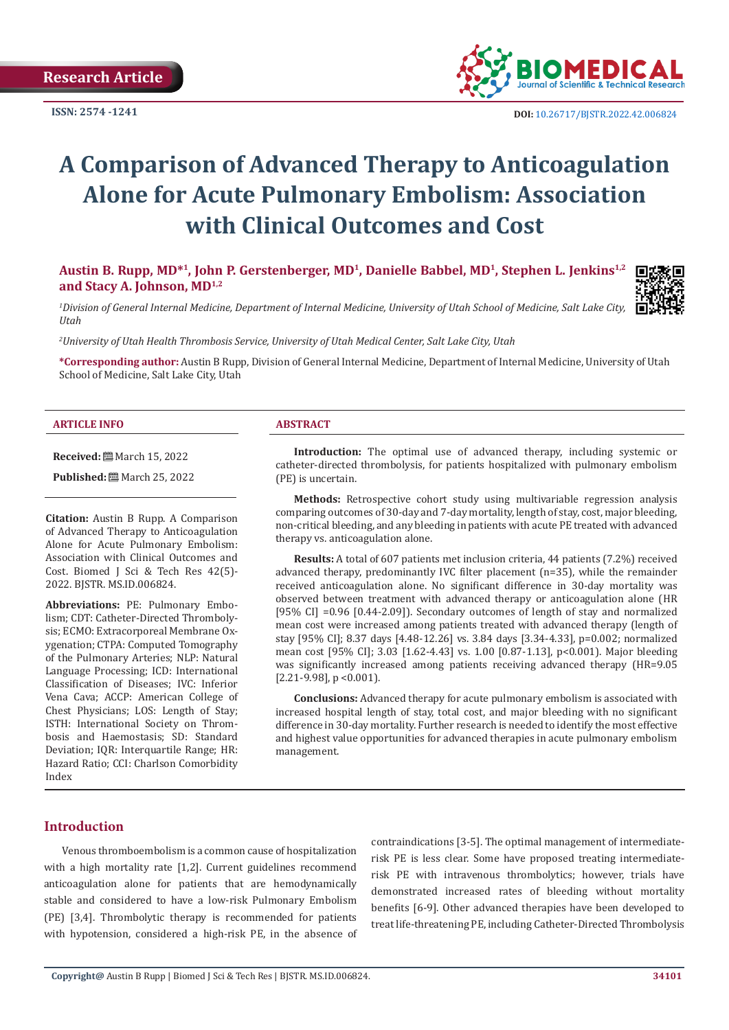

# **A Comparison of Advanced Therapy to Anticoagulation Alone for Acute Pulmonary Embolism: Association with Clinical Outcomes and Cost**

**Austin B. Rupp, MD\*1, John P. Gerstenberger, MD1, Danielle Babbel, MD1, Stephen L. Jenkins1,2 and Stacy A. Johnson, MD1,2**

*1 Division of General Internal Medicine, Department of Internal Medicine, University of Utah School of Medicine, Salt Lake City, Utah*

*2 University of Utah Health Thrombosis Service, University of Utah Medical Center, Salt Lake City, Utah*

**\*Corresponding author:** Austin B Rupp, Division of General Internal Medicine, Department of Internal Medicine, University of Utah School of Medicine, Salt Lake City, Utah

#### **ARTICLE INFO ABSTRACT**

**Received:** March 15, 2022

**Published:** March 25, 2022

**Citation:** Austin B Rupp. A Comparison of Advanced Therapy to Anticoagulation Alone for Acute Pulmonary Embolism: Association with Clinical Outcomes and Cost. Biomed J Sci & Tech Res 42(5)- 2022. BJSTR. MS.ID.006824.

**Abbreviations:** PE: Pulmonary Embolism; CDT: Catheter-Directed Thrombolysis; ECMO: Extracorporeal Membrane Oxygenation; CTPA: Computed Tomography of the Pulmonary Arteries; NLP: Natural Language Processing; ICD: International Classification of Diseases; IVC: Inferior Vena Cava; ACCP: American College of Chest Physicians; LOS: Length of Stay; ISTH: International Society on Thrombosis and Haemostasis; SD: Standard Deviation; IQR: Interquartile Range; HR: Hazard Ratio; CCI: Charlson Comorbidity Index

**Introduction:** The optimal use of advanced therapy, including systemic or catheter-directed thrombolysis, for patients hospitalized with pulmonary embolism (PE) is uncertain.

**Methods:** Retrospective cohort study using multivariable regression analysis comparing outcomes of 30-day and 7-day mortality, length of stay, cost, major bleeding, non-critical bleeding, and any bleeding in patients with acute PE treated with advanced therapy vs. anticoagulation alone.

**Results:** A total of 607 patients met inclusion criteria, 44 patients (7.2%) received advanced therapy, predominantly IVC filter placement (n=35), while the remainder received anticoagulation alone. No significant difference in 30-day mortality was observed between treatment with advanced therapy or anticoagulation alone (HR [95% CI] =0.96 [0.44-2.09]). Secondary outcomes of length of stay and normalized mean cost were increased among patients treated with advanced therapy (length of stay [95% CI]; 8.37 days [4.48-12.26] vs. 3.84 days [3.34-4.33], p=0.002; normalized mean cost [95% CI]; 3.03 [1.62-4.43] vs. 1.00 [0.87-1.13], p<0.001). Major bleeding was significantly increased among patients receiving advanced therapy (HR=9.05 [2.21-9.98], p < 0.001).

**Conclusions:** Advanced therapy for acute pulmonary embolism is associated with increased hospital length of stay, total cost, and major bleeding with no significant difference in 30-day mortality. Further research is needed to identify the most effective and highest value opportunities for advanced therapies in acute pulmonary embolism management.

# **Introduction**

Venous thromboembolism is a common cause of hospitalization with a high mortality rate [1,2]. Current guidelines recommend anticoagulation alone for patients that are hemodynamically stable and considered to have a low-risk Pulmonary Embolism (PE) [3,4]. Thrombolytic therapy is recommended for patients with hypotension, considered a high-risk PE, in the absence of contraindications [3-5]. The optimal management of intermediaterisk PE is less clear. Some have proposed treating intermediaterisk PE with intravenous thrombolytics; however, trials have demonstrated increased rates of bleeding without mortality benefits [6-9]. Other advanced therapies have been developed to treat life-threatening PE, including Catheter-Directed Thrombolysis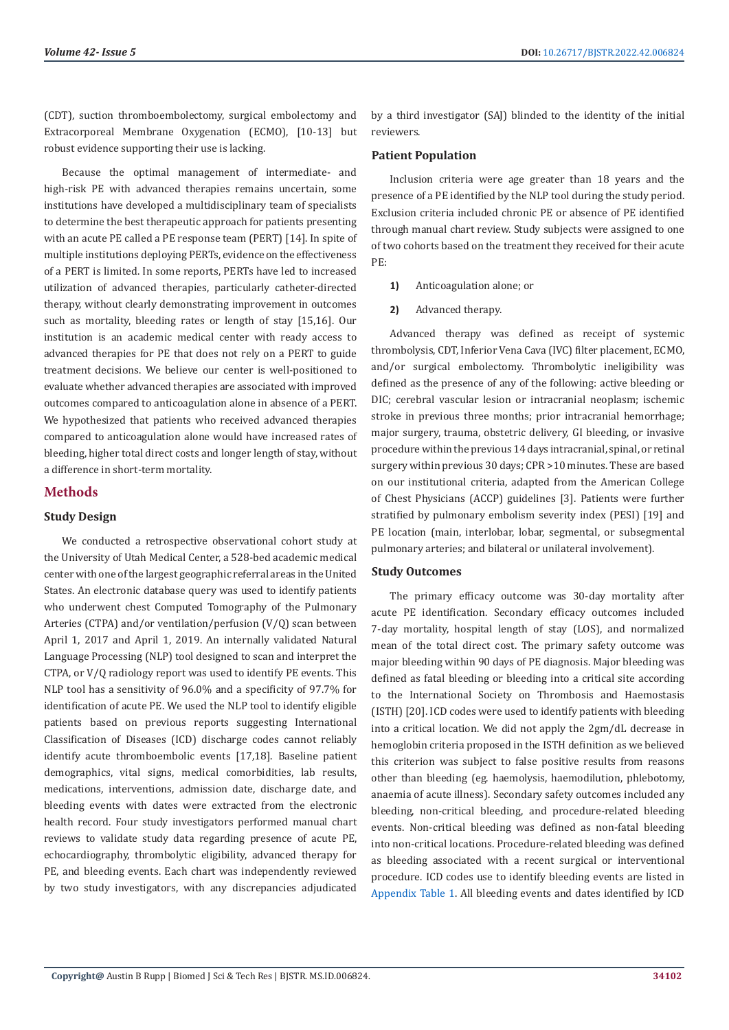(CDT), suction thromboembolectomy, surgical embolectomy and Extracorporeal Membrane Oxygenation (ECMO), [10-13] but robust evidence supporting their use is lacking.

Because the optimal management of intermediate- and high-risk PE with advanced therapies remains uncertain, some institutions have developed a multidisciplinary team of specialists to determine the best therapeutic approach for patients presenting with an acute PE called a PE response team (PERT) [14]. In spite of multiple institutions deploying PERTs, evidence on the effectiveness of a PERT is limited. In some reports, PERTs have led to increased utilization of advanced therapies, particularly catheter-directed therapy, without clearly demonstrating improvement in outcomes such as mortality, bleeding rates or length of stay [15,16]. Our institution is an academic medical center with ready access to advanced therapies for PE that does not rely on a PERT to guide treatment decisions. We believe our center is well-positioned to evaluate whether advanced therapies are associated with improved outcomes compared to anticoagulation alone in absence of a PERT. We hypothesized that patients who received advanced therapies compared to anticoagulation alone would have increased rates of bleeding, higher total direct costs and longer length of stay, without a difference in short-term mortality.

## **Methods**

#### **Study Design**

We conducted a retrospective observational cohort study at the University of Utah Medical Center, a 528-bed academic medical center with one of the largest geographic referral areas in the United States. An electronic database query was used to identify patients who underwent chest Computed Tomography of the Pulmonary Arteries (CTPA) and/or ventilation/perfusion (V/Q) scan between April 1, 2017 and April 1, 2019. An internally validated Natural Language Processing (NLP) tool designed to scan and interpret the CTPA, or V/Q radiology report was used to identify PE events. This NLP tool has a sensitivity of 96.0% and a specificity of 97.7% for identification of acute PE. We used the NLP tool to identify eligible patients based on previous reports suggesting International Classification of Diseases (ICD) discharge codes cannot reliably identify acute thromboembolic events [17,18]. Baseline patient demographics, vital signs, medical comorbidities, lab results, medications, interventions, admission date, discharge date, and bleeding events with dates were extracted from the electronic health record. Four study investigators performed manual chart reviews to validate study data regarding presence of acute PE, echocardiography, thrombolytic eligibility, advanced therapy for PE, and bleeding events. Each chart was independently reviewed by two study investigators, with any discrepancies adjudicated

by a third investigator (SAJ) blinded to the identity of the initial reviewers.

#### **Patient Population**

Inclusion criteria were age greater than 18 years and the presence of a PE identified by the NLP tool during the study period. Exclusion criteria included chronic PE or absence of PE identified through manual chart review. Study subjects were assigned to one of two cohorts based on the treatment they received for their acute PE:

- **1)** Anticoagulation alone; or
- **2)** Advanced therapy.

Advanced therapy was defined as receipt of systemic thrombolysis, CDT, Inferior Vena Cava (IVC) filter placement, ECMO, and/or surgical embolectomy. Thrombolytic ineligibility was defined as the presence of any of the following: active bleeding or DIC; cerebral vascular lesion or intracranial neoplasm; ischemic stroke in previous three months; prior intracranial hemorrhage; major surgery, trauma, obstetric delivery, GI bleeding, or invasive procedure within the previous 14 days intracranial, spinal, or retinal surgery within previous 30 days; CPR >10 minutes. These are based on our institutional criteria, adapted from the American College of Chest Physicians (ACCP) guidelines [3]. Patients were further stratified by pulmonary embolism severity index (PESI) [19] and PE location (main, interlobar, lobar, segmental, or subsegmental pulmonary arteries; and bilateral or unilateral involvement).

#### **Study Outcomes**

The primary efficacy outcome was 30-day mortality after acute PE identification. Secondary efficacy outcomes included 7-day mortality, hospital length of stay (LOS), and normalized mean of the total direct cost. The primary safety outcome was major bleeding within 90 days of PE diagnosis. Major bleeding was defined as fatal bleeding or bleeding into a critical site according to the International Society on Thrombosis and Haemostasis (ISTH) [20]. ICD codes were used to identify patients with bleeding into a critical location. We did not apply the 2gm/dL decrease in hemoglobin criteria proposed in the ISTH definition as we believed this criterion was subject to false positive results from reasons other than bleeding (eg. haemolysis, haemodilution, phlebotomy, anaemia of acute illness). Secondary safety outcomes included any bleeding, non-critical bleeding, and procedure-related bleeding events. Non-critical bleeding was defined as non-fatal bleeding into non-critical locations. Procedure-related bleeding was defined as bleeding associated with a recent surgical or interventional procedure. ICD codes use to identify bleeding events are listed in [Appendix Table 1](https://biomedres.us/pdfs/BJSTR.MS.ID.006824-Appendix-Table.pdf). All bleeding events and dates identified by ICD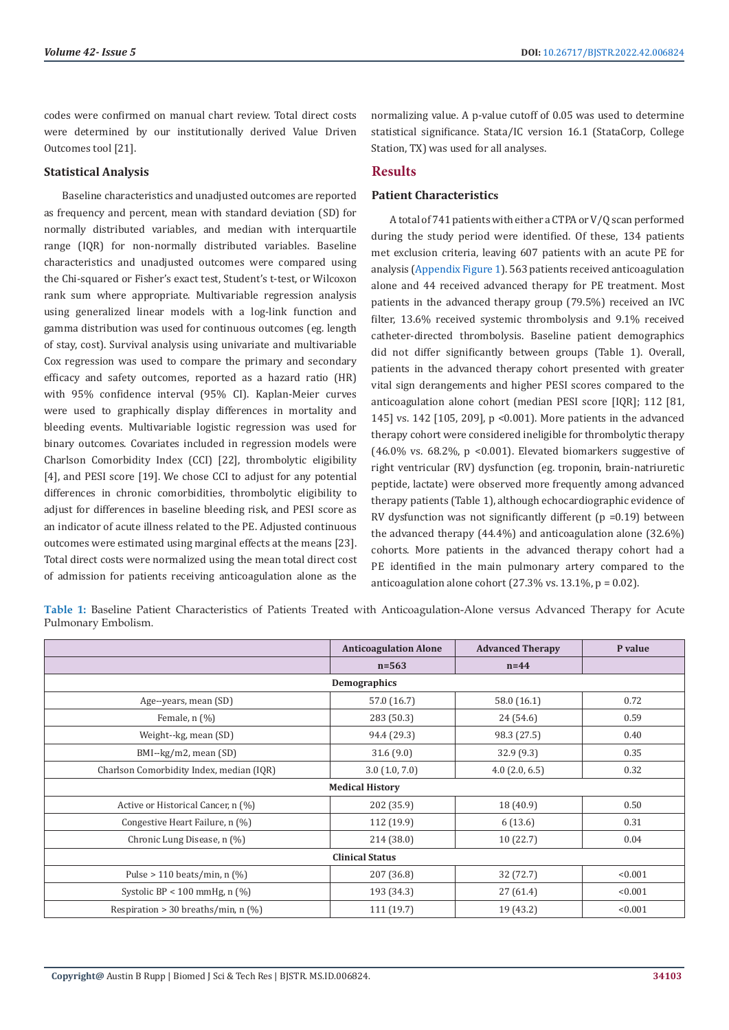codes were confirmed on manual chart review. Total direct costs were determined by our institutionally derived Value Driven Outcomes tool [21].

## **Statistical Analysis**

Baseline characteristics and unadjusted outcomes are reported as frequency and percent, mean with standard deviation (SD) for normally distributed variables, and median with interquartile range (IQR) for non-normally distributed variables. Baseline characteristics and unadjusted outcomes were compared using the Chi-squared or Fisher's exact test, Student's t-test, or Wilcoxon rank sum where appropriate. Multivariable regression analysis using generalized linear models with a log-link function and gamma distribution was used for continuous outcomes (eg. length of stay, cost). Survival analysis using univariate and multivariable Cox regression was used to compare the primary and secondary efficacy and safety outcomes, reported as a hazard ratio (HR) with 95% confidence interval (95% CI). Kaplan-Meier curves were used to graphically display differences in mortality and bleeding events. Multivariable logistic regression was used for binary outcomes. Covariates included in regression models were Charlson Comorbidity Index (CCI) [22], thrombolytic eligibility [4], and PESI score [19]. We chose CCI to adjust for any potential differences in chronic comorbidities, thrombolytic eligibility to adjust for differences in baseline bleeding risk, and PESI score as an indicator of acute illness related to the PE. Adjusted continuous outcomes were estimated using marginal effects at the means [23]. Total direct costs were normalized using the mean total direct cost of admission for patients receiving anticoagulation alone as the

normalizing value. A p-value cutoff of 0.05 was used to determine statistical significance. Stata/IC version 16.1 (StataCorp, College Station, TX) was used for all analyses.

# **Results**

## **Patient Characteristics**

A total of 741 patients with either a CTPA or V/Q scan performed during the study period were identified. Of these, 134 patients met exclusion criteria, leaving 607 patients with an acute PE for analysis [\(Appendix Figure 1](https://biomedres.us/pdfs/BJSTR.MS.ID.006824-Appendix-Figures.pdf)). 563 patients received anticoagulation alone and 44 received advanced therapy for PE treatment. Most patients in the advanced therapy group (79.5%) received an IVC filter, 13.6% received systemic thrombolysis and 9.1% received catheter-directed thrombolysis. Baseline patient demographics did not differ significantly between groups (Table 1). Overall, patients in the advanced therapy cohort presented with greater vital sign derangements and higher PESI scores compared to the anticoagulation alone cohort (median PESI score [IQR]; 112 [81, 145] vs. 142 [105, 209], p <0.001). More patients in the advanced therapy cohort were considered ineligible for thrombolytic therapy (46.0% vs. 68.2%, p <0.001). Elevated biomarkers suggestive of right ventricular (RV) dysfunction (eg. troponin, brain-natriuretic peptide, lactate) were observed more frequently among advanced therapy patients (Table 1), although echocardiographic evidence of RV dysfunction was not significantly different  $(p = 0.19)$  between the advanced therapy (44.4%) and anticoagulation alone (32.6%) cohorts. More patients in the advanced therapy cohort had a PE identified in the main pulmonary artery compared to the anticoagulation alone cohort  $(27.3\% \text{ vs. } 13.1\% \text{, } p = 0.02)$ .

**Table 1:** Baseline Patient Characteristics of Patients Treated with Anticoagulation-Alone versus Advanced Therapy for Acute Pulmonary Embolism.

|                                          | <b>Anticoagulation Alone</b> | <b>Advanced Therapy</b> | P value |
|------------------------------------------|------------------------------|-------------------------|---------|
|                                          | $n = 563$                    | $n=44$                  |         |
| Demographics                             |                              |                         |         |
| Age--years, mean (SD)                    | 57.0 (16.7)                  | 58.0 (16.1)             | 0.72    |
| Female, $n$ $(\%)$                       | 283 (50.3)                   | 24 (54.6)               | 0.59    |
| Weight--kg, mean (SD)                    | 94.4 (29.3)                  | 98.3 (27.5)             | 0.40    |
| BMI--kg/m2, mean (SD)                    | 31.6(9.0)                    | 32.9(9.3)               | 0.35    |
| Charlson Comorbidity Index, median (IQR) | 3.0(1.0, 7.0)                | $4.0$ (2.0, 6.5)        | 0.32    |
| <b>Medical History</b>                   |                              |                         |         |
| Active or Historical Cancer, n (%)       | 202 (35.9)                   | 18 (40.9)               | 0.50    |
| Congestive Heart Failure, n (%)          | 112 (19.9)                   | 6(13.6)                 | 0.31    |
| Chronic Lung Disease, n (%)              | 214 (38.0)                   | 10(22.7)                | 0.04    |
| <b>Clinical Status</b>                   |                              |                         |         |
| Pulse > 110 beats/min, n $(\%)$          | 207 (36.8)                   | 32 (72.7)               | < 0.001 |
| Systolic BP < 100 mmHg, $n$ (%)          | 193 (34.3)                   | 27(61.4)                | < 0.001 |
| Respiration > 30 breaths/min, n $(\%)$   | 111 (19.7)                   | 19 (43.2)               | < 0.001 |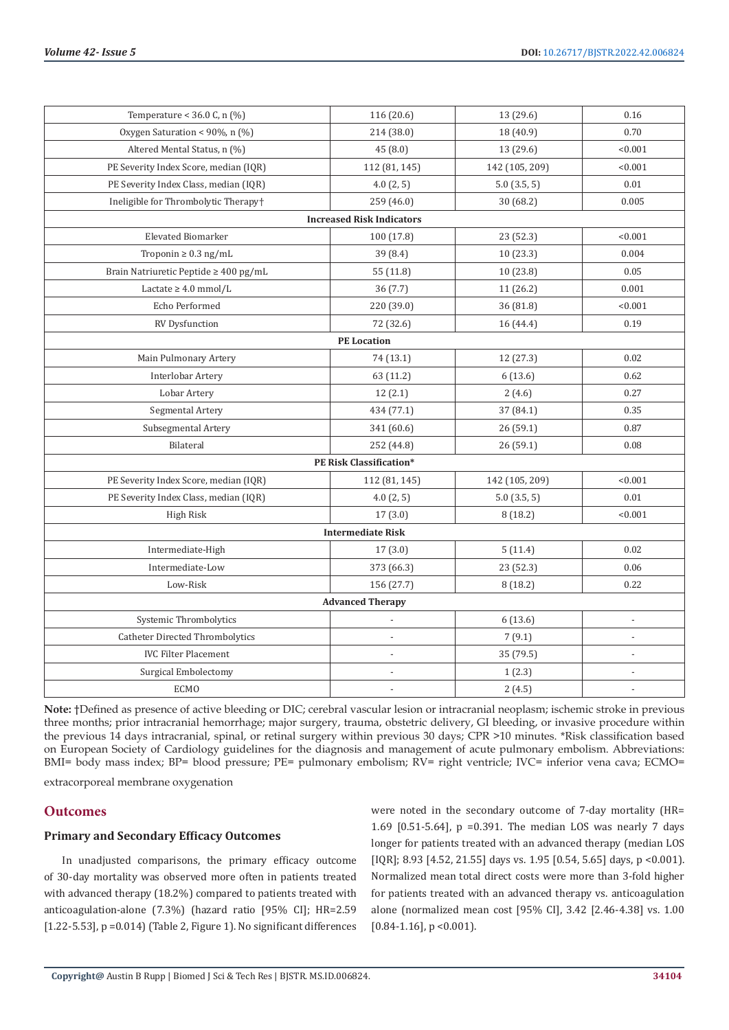| Temperature < 36.0 C, n $(\%)$        | 116 (20.6)                       | 13 (29.6)      | 0.16                     |  |
|---------------------------------------|----------------------------------|----------------|--------------------------|--|
| Oxygen Saturation < 90%, n (%)        | 214 (38.0)                       | 18 (40.9)      | 0.70                     |  |
| Altered Mental Status, n (%)          | 45 (8.0)                         | 13 (29.6)      | < 0.001                  |  |
| PE Severity Index Score, median (IQR) | 112 (81, 145)                    | 142 (105, 209) | < 0.001                  |  |
| PE Severity Index Class, median (IQR) | 4.0(2, 5)                        | 5.0(3.5, 5)    | 0.01                     |  |
| Ineligible for Thrombolytic Therapy+  | 259 (46.0)                       | 30 (68.2)      | 0.005                    |  |
|                                       | <b>Increased Risk Indicators</b> |                |                          |  |
| <b>Elevated Biomarker</b>             | 100 (17.8)                       | 23 (52.3)      | < 0.001                  |  |
| Troponin $\geq 0.3$ ng/mL             | 39(8.4)                          | 10(23.3)       | 0.004                    |  |
| Brain Natriuretic Peptide ≥ 400 pg/mL | 55 (11.8)                        | 10 (23.8)      | 0.05                     |  |
| Lactate $\geq 4.0$ mmol/L             | 36 (7.7)                         | 11 (26.2)      | 0.001                    |  |
| Echo Performed                        | 220 (39.0)                       | 36 (81.8)      | < 0.001                  |  |
| RV Dysfunction                        | 72 (32.6)                        | 16 (44.4)      | 0.19                     |  |
|                                       | <b>PE</b> Location               |                |                          |  |
| Main Pulmonary Artery                 | 74 (13.1)                        | 12 (27.3)      | 0.02                     |  |
| Interlobar Artery                     | 63 (11.2)                        | 6(13.6)        | 0.62                     |  |
| Lobar Artery                          | 12(2.1)                          | 2(4.6)         | 0.27                     |  |
| Segmental Artery                      | 434 (77.1)                       | 37 (84.1)      | 0.35                     |  |
| Subsegmental Artery                   | 341 (60.6)                       | 26(59.1)       | 0.87                     |  |
| Bilateral                             | 252 (44.8)                       | 26 (59.1)      | 0.08                     |  |
| <b>PE Risk Classification*</b>        |                                  |                |                          |  |
| PE Severity Index Score, median (IQR) | 112 (81, 145)                    | 142 (105, 209) | < 0.001                  |  |
| PE Severity Index Class, median (IQR) | 4.0(2, 5)                        | 5.0(3.5, 5)    | $0.01\,$                 |  |
| High Risk                             | 17(3.0)                          | 8(18.2)        | < 0.001                  |  |
| <b>Intermediate Risk</b>              |                                  |                |                          |  |
| Intermediate-High                     | 17(3.0)                          | 5(11.4)        | 0.02                     |  |
| Intermediate-Low                      | 373 (66.3)                       | 23 (52.3)      | 0.06                     |  |
| Low-Risk                              | 156 (27.7)                       | 8(18.2)        | 0.22                     |  |
| <b>Advanced Therapy</b>               |                                  |                |                          |  |
| Systemic Thrombolytics                |                                  | 6(13.6)        |                          |  |
| Catheter Directed Thrombolytics       | ÷,                               | 7(9.1)         | $\overline{\phantom{m}}$ |  |
| <b>IVC Filter Placement</b>           | $\overline{a}$                   | 35 (79.5)      | $\overline{a}$           |  |
| Surgical Embolectomy                  |                                  | 1(2.3)         |                          |  |
| <b>ECMO</b>                           |                                  | 2(4.5)         | $\overline{a}$           |  |

**Note:** †Defined as presence of active bleeding or DIC; cerebral vascular lesion or intracranial neoplasm; ischemic stroke in previous three months; prior intracranial hemorrhage; major surgery, trauma, obstetric delivery, GI bleeding, or invasive procedure within the previous 14 days intracranial, spinal, or retinal surgery within previous 30 days; CPR >10 minutes. \*Risk classification based on European Society of Cardiology guidelines for the diagnosis and management of acute pulmonary embolism. Abbreviations: BMI= body mass index; BP= blood pressure; PE= pulmonary embolism; RV= right ventricle; IVC= inferior vena cava; ECMO=

extracorporeal membrane oxygenation

## **Outcomes**

#### **Primary and Secondary Efficacy Outcomes**

In unadjusted comparisons, the primary efficacy outcome of 30-day mortality was observed more often in patients treated with advanced therapy (18.2%) compared to patients treated with anticoagulation-alone (7.3%) (hazard ratio [95% CI]; HR=2.59 [1.22-5.53], p = 0.014) (Table 2, Figure 1). No significant differences were noted in the secondary outcome of 7-day mortality (HR= 1.69 [0.51-5.64], p =0.391. The median LOS was nearly 7 days longer for patients treated with an advanced therapy (median LOS [IQR]; 8.93 [4.52, 21.55] days vs. 1.95 [0.54, 5.65] days, p <0.001). Normalized mean total direct costs were more than 3-fold higher for patients treated with an advanced therapy vs. anticoagulation alone (normalized mean cost [95% CI], 3.42 [2.46-4.38] vs. 1.00  $[0.84 - 1.16]$ , p < 0.001).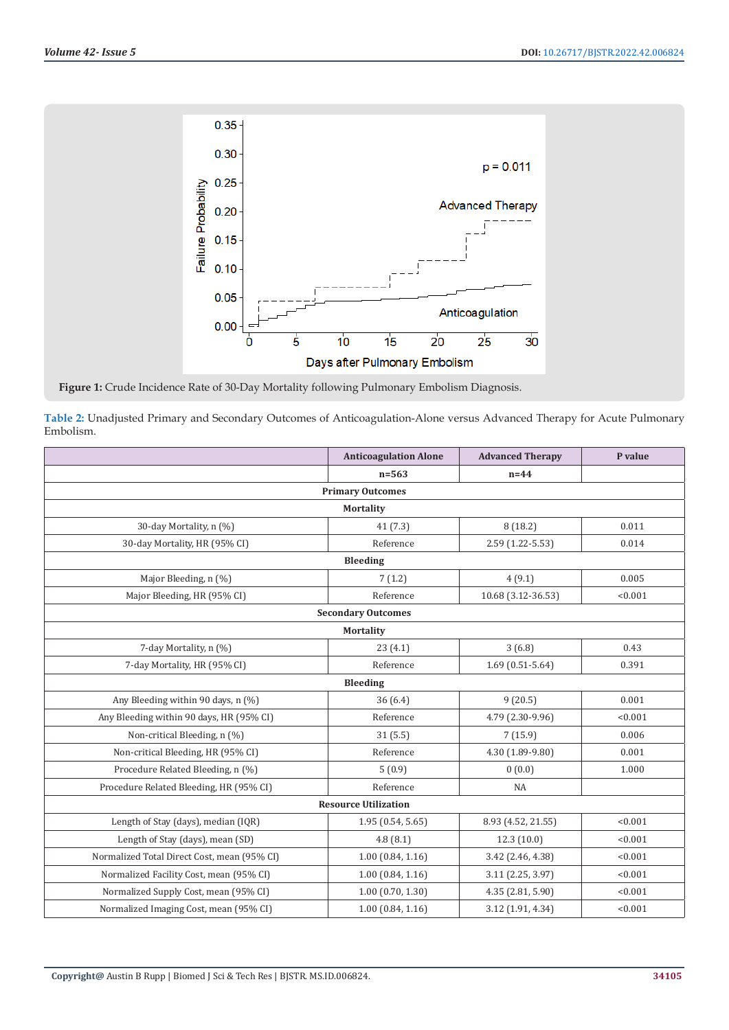

**Figure 1:** Crude Incidence Rate of 30-Day Mortality following Pulmonary Embolism Diagnosis.

**Table 2:** Unadjusted Primary and Secondary Outcomes of Anticoagulation-Alone versus Advanced Therapy for Acute Pulmonary Embolism.

|                                             | <b>Anticoagulation Alone</b> | <b>Advanced Therapy</b> | P value |
|---------------------------------------------|------------------------------|-------------------------|---------|
|                                             | $n = 563$                    | $n=44$                  |         |
|                                             | <b>Primary Outcomes</b>      |                         |         |
|                                             | <b>Mortality</b>             |                         |         |
| 30-day Mortality, n (%)                     | 41(7.3)                      | 8(18.2)                 | 0.011   |
| 30-day Mortality, HR (95% CI)               | Reference                    | 2.59 (1.22-5.53)        | 0.014   |
|                                             | <b>Bleeding</b>              |                         |         |
| Major Bleeding, n (%)                       | 7(1.2)                       | 4(9.1)                  | 0.005   |
| Major Bleeding, HR (95% CI)                 | Reference                    | 10.68 (3.12-36.53)      | < 0.001 |
|                                             | <b>Secondary Outcomes</b>    |                         |         |
|                                             | <b>Mortality</b>             |                         |         |
| 7-day Mortality, n (%)                      | 23(4.1)                      | 3(6.8)                  | 0.43    |
| 7-day Mortality, HR (95% CI)                | Reference                    | $1.69(0.51-5.64)$       | 0.391   |
| <b>Bleeding</b>                             |                              |                         |         |
| Any Bleeding within 90 days, n (%)          | 36(6.4)                      | 9(20.5)                 | 0.001   |
| Any Bleeding within 90 days, HR (95% CI)    | Reference                    | 4.79 (2.30-9.96)        | < 0.001 |
| Non-critical Bleeding, n (%)                | 31(5.5)                      | 7(15.9)                 | 0.006   |
| Non-critical Bleeding, HR (95% CI)          | Reference                    | 4.30 (1.89-9.80)        | 0.001   |
| Procedure Related Bleeding, n (%)           | 5(0.9)                       | 0(0.0)                  | 1.000   |
| Procedure Related Bleeding, HR (95% CI)     | Reference                    | <b>NA</b>               |         |
| <b>Resource Utilization</b>                 |                              |                         |         |
| Length of Stay (days), median (IQR)         | 1.95(0.54, 5.65)             | 8.93 (4.52, 21.55)      | < 0.001 |
| Length of Stay (days), mean (SD)            | 4.8(8.1)                     | 12.3 (10.0)             | < 0.001 |
| Normalized Total Direct Cost, mean (95% CI) | 1.00(0.84, 1.16)             | 3.42 (2.46, 4.38)       | < 0.001 |
| Normalized Facility Cost, mean (95% CI)     | 1.00(0.84, 1.16)             | 3.11 (2.25, 3.97)       | < 0.001 |
| Normalized Supply Cost, mean (95% CI)       | 1.00(0.70, 1.30)             | 4.35 (2.81, 5.90)       | < 0.001 |
| Normalized Imaging Cost, mean (95% CI)      | 1.00(0.84, 1.16)             | 3.12 (1.91, 4.34)       | < 0.001 |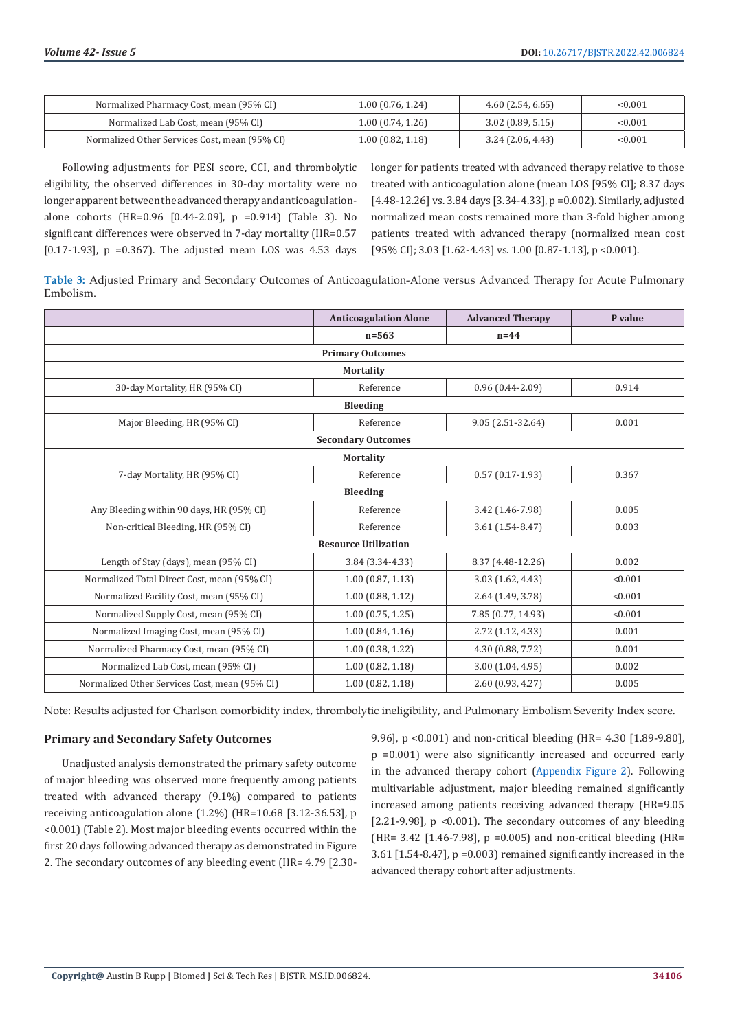| Normalized Pharmacy Cost, mean (95% CI)       | 1.00(0.76, 1.24) | $4.60$ (2.54, 6.65) | < 0.001 |
|-----------------------------------------------|------------------|---------------------|---------|
| Normalized Lab Cost, mean (95% CI)            | 1.00(0.74, 1.26) | $3.02$ (0.89, 5.15) | < 0.001 |
| Normalized Other Services Cost, mean (95% CI) | 1.00(0.82, 1.18) | 3.24(2.06, 4.43)    | < 0.001 |

Following adjustments for PESI score, CCI, and thrombolytic eligibility, the observed differences in 30-day mortality were no longer apparent between the advanced therapy and anticoagulationalone cohorts (HR=0.96 [0.44-2.09], p =0.914) (Table 3). No significant differences were observed in 7-day mortality (HR=0.57 [ $0.17-1.93$ ],  $p = 0.367$ ]. The adjusted mean LOS was 4.53 days

longer for patients treated with advanced therapy relative to those treated with anticoagulation alone (mean LOS [95% CI]; 8.37 days [4.48-12.26] vs. 3.84 days [3.34-4.33], p =0.002). Similarly, adjusted normalized mean costs remained more than 3-fold higher among patients treated with advanced therapy (normalized mean cost [95% CI]; 3.03 [1.62-4.43] vs. 1.00 [0.87-1.13], p <0.001).

**Table 3:** Adjusted Primary and Secondary Outcomes of Anticoagulation-Alone versus Advanced Therapy for Acute Pulmonary Embolism.

|                                               | <b>Anticoagulation Alone</b> | <b>Advanced Therapy</b> | P value |  |
|-----------------------------------------------|------------------------------|-------------------------|---------|--|
|                                               | $n = 563$                    | $n=44$                  |         |  |
|                                               | <b>Primary Outcomes</b>      |                         |         |  |
|                                               | <b>Mortality</b>             |                         |         |  |
| 30-day Mortality, HR (95% CI)                 | Reference                    | $0.96(0.44 - 2.09)$     | 0.914   |  |
|                                               | <b>Bleeding</b>              |                         |         |  |
| Major Bleeding, HR (95% CI)                   | Reference                    | 9.05 (2.51-32.64)       | 0.001   |  |
| <b>Secondary Outcomes</b>                     |                              |                         |         |  |
| <b>Mortality</b>                              |                              |                         |         |  |
| 7-day Mortality, HR (95% CI)                  | Reference                    | $0.57(0.17-1.93)$       | 0.367   |  |
| <b>Bleeding</b>                               |                              |                         |         |  |
| Any Bleeding within 90 days, HR (95% CI)      | Reference                    | 3.42 (1.46-7.98)        | 0.005   |  |
| Non-critical Bleeding, HR (95% CI)            | Reference                    | 3.61 (1.54-8.47)        | 0.003   |  |
| <b>Resource Utilization</b>                   |                              |                         |         |  |
| Length of Stay (days), mean (95% CI)          | 3.84 (3.34-4.33)             | 8.37 (4.48-12.26)       | 0.002   |  |
| Normalized Total Direct Cost, mean (95% CI)   | 1.00(0.87, 1.13)             | 3.03 (1.62, 4.43)       | < 0.001 |  |
| Normalized Facility Cost, mean (95% CI)       | 1.00(0.88, 1.12)             | 2.64 (1.49, 3.78)       | < 0.001 |  |
| Normalized Supply Cost, mean (95% CI)         | 1.00(0.75, 1.25)             | 7.85 (0.77, 14.93)      | < 0.001 |  |
| Normalized Imaging Cost, mean (95% CI)        | 1.00(0.84, 1.16)             | 2.72 (1.12, 4.33)       | 0.001   |  |
| Normalized Pharmacy Cost, mean (95% CI)       | 1.00(0.38, 1.22)             | 4.30 (0.88, 7.72)       | 0.001   |  |
| Normalized Lab Cost, mean (95% CI)            | 1.00(0.82, 1.18)             | 3.00 (1.04, 4.95)       | 0.002   |  |
| Normalized Other Services Cost, mean (95% CI) | 1.00(0.82, 1.18)             | 2.60 (0.93, 4.27)       | 0.005   |  |

Note: Results adjusted for Charlson comorbidity index, thrombolytic ineligibility, and Pulmonary Embolism Severity Index score.

#### **Primary and Secondary Safety Outcomes**

Unadjusted analysis demonstrated the primary safety outcome of major bleeding was observed more frequently among patients treated with advanced therapy (9.1%) compared to patients receiving anticoagulation alone (1.2%) (HR=10.68 [3.12-36.53], p <0.001) (Table 2). Most major bleeding events occurred within the first 20 days following advanced therapy as demonstrated in Figure 2. The secondary outcomes of any bleeding event (HR= 4.79 [2.309.96], p <0.001) and non-critical bleeding (HR= 4.30 [1.89-9.80], p =0.001) were also significantly increased and occurred early in the advanced therapy cohort ([Appendix Figure 2](https://biomedres.us/pdfs/BJSTR.MS.ID.006824-Appendix-Figures.pdf)). Following multivariable adjustment, major bleeding remained significantly increased among patients receiving advanced therapy (HR=9.05 [ $2.21-9.98$ ], p <0.001). The secondary outcomes of any bleeding (HR=  $3.42$  [1.46-7.98], p = 0.005) and non-critical bleeding (HR= 3.61 [1.54-8.47], p =0.003) remained significantly increased in the advanced therapy cohort after adjustments.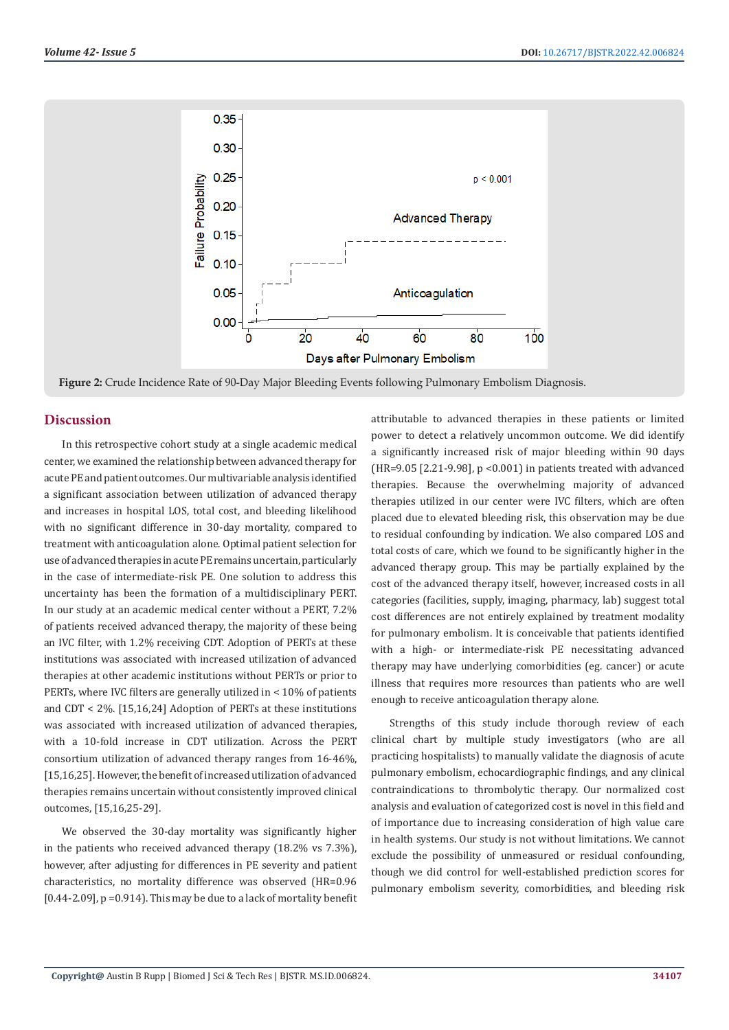

**Figure 2:** Crude Incidence Rate of 90-Day Major Bleeding Events following Pulmonary Embolism Diagnosis.

#### **Discussion**

In this retrospective cohort study at a single academic medical center, we examined the relationship between advanced therapy for acute PE and patient outcomes. Our multivariable analysis identified a significant association between utilization of advanced therapy and increases in hospital LOS, total cost, and bleeding likelihood with no significant difference in 30-day mortality, compared to treatment with anticoagulation alone. Optimal patient selection for use of advanced therapies in acute PE remains uncertain, particularly in the case of intermediate-risk PE. One solution to address this uncertainty has been the formation of a multidisciplinary PERT. In our study at an academic medical center without a PERT, 7.2% of patients received advanced therapy, the majority of these being an IVC filter, with 1.2% receiving CDT. Adoption of PERTs at these institutions was associated with increased utilization of advanced therapies at other academic institutions without PERTs or prior to PERTs, where IVC filters are generally utilized in < 10% of patients and CDT < 2%. [15,16,24] Adoption of PERTs at these institutions was associated with increased utilization of advanced therapies, with a 10-fold increase in CDT utilization. Across the PERT consortium utilization of advanced therapy ranges from 16-46%, [15,16,25]. However, the benefit of increased utilization of advanced therapies remains uncertain without consistently improved clinical outcomes, [15,16,25-29].

We observed the 30-day mortality was significantly higher in the patients who received advanced therapy (18.2% vs 7.3%), however, after adjusting for differences in PE severity and patient characteristics, no mortality difference was observed (HR=0.96  $[0.44-2.09]$ ,  $p = 0.914$ . This may be due to a lack of mortality benefit

attributable to advanced therapies in these patients or limited power to detect a relatively uncommon outcome. We did identify a significantly increased risk of major bleeding within 90 days (HR=9.05 [2.21-9.98], p <0.001) in patients treated with advanced therapies. Because the overwhelming majority of advanced therapies utilized in our center were IVC filters, which are often placed due to elevated bleeding risk, this observation may be due to residual confounding by indication. We also compared LOS and total costs of care, which we found to be significantly higher in the advanced therapy group. This may be partially explained by the cost of the advanced therapy itself, however, increased costs in all categories (facilities, supply, imaging, pharmacy, lab) suggest total cost differences are not entirely explained by treatment modality for pulmonary embolism. It is conceivable that patients identified with a high- or intermediate-risk PE necessitating advanced therapy may have underlying comorbidities (eg. cancer) or acute illness that requires more resources than patients who are well enough to receive anticoagulation therapy alone.

Strengths of this study include thorough review of each clinical chart by multiple study investigators (who are all practicing hospitalists) to manually validate the diagnosis of acute pulmonary embolism, echocardiographic findings, and any clinical contraindications to thrombolytic therapy. Our normalized cost analysis and evaluation of categorized cost is novel in this field and of importance due to increasing consideration of high value care in health systems. Our study is not without limitations. We cannot exclude the possibility of unmeasured or residual confounding, though we did control for well-established prediction scores for pulmonary embolism severity, comorbidities, and bleeding risk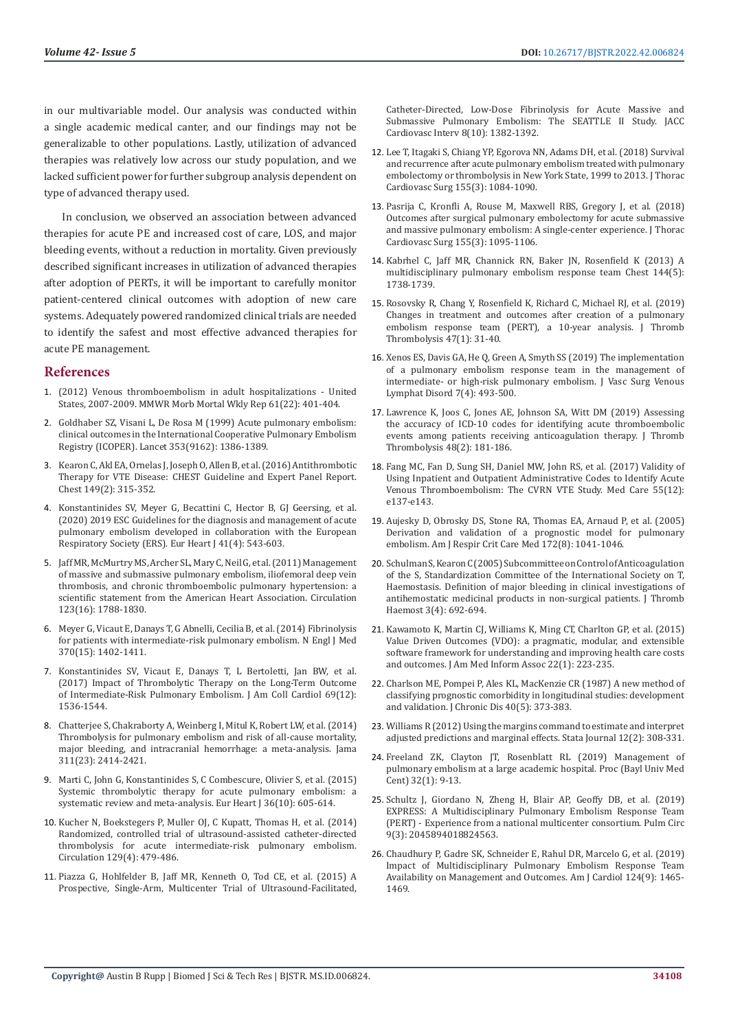in our multivariable model. Our analysis was conducted within a single academic medical canter, and our findings may not be generalizable to other populations. Lastly, utilization of advanced therapies was relatively low across our study population, and we lacked sufficient power for further subgroup analysis dependent on type of advanced therapy used.

In conclusion, we observed an association between advanced therapies for acute PE and increased cost of care, LOS, and major bleeding events, without a reduction in mortality. Given previously described significant increases in utilization of advanced therapies after adoption of PERTs, it will be important to carefully monitor patient-centered clinical outcomes with adoption of new care systems. Adequately powered randomized clinical trials are needed to identify the safest and most effective advanced therapies for acute PE management.

#### **References**

- 1. [\(2012\) Venous thromboembolism in adult hospitalizations United](https://pubmed.ncbi.nlm.nih.gov/22672974/)  [States, 2007-2009. MMWR Morb Mortal Wkly Rep 61\(22\): 401-404.](https://pubmed.ncbi.nlm.nih.gov/22672974/)
- 2. [Goldhaber SZ, Visani L, De Rosa M \(1999\) Acute pulmonary embolism:](https://pubmed.ncbi.nlm.nih.gov/10227218/)  [clinical outcomes in the International Cooperative Pulmonary Embolism](https://pubmed.ncbi.nlm.nih.gov/10227218/)  [Registry \(ICOPER\). Lancet 353\(9162\): 1386-1389.](https://pubmed.ncbi.nlm.nih.gov/10227218/)
- 3. [Kearon C, Akl EA, Ornelas J, Joseph O, Allen B, et al. \(2016\) Antithrombotic](https://pubmed.ncbi.nlm.nih.gov/26867832/)  [Therapy for VTE Disease: CHEST Guideline and Expert Panel Report.](https://pubmed.ncbi.nlm.nih.gov/26867832/)  [Chest 149\(2\): 315-352.](https://pubmed.ncbi.nlm.nih.gov/26867832/)
- 4. [Konstantinides SV, Meyer G, Becattini C, Hector B, GJ Geersing, et al.](https://pubmed.ncbi.nlm.nih.gov/31504429/)  [\(2020\) 2019 ESC Guidelines for the diagnosis and management of acute](https://pubmed.ncbi.nlm.nih.gov/31504429/)  [pulmonary embolism developed in collaboration with the European](https://pubmed.ncbi.nlm.nih.gov/31504429/)  [Respiratory Society \(ERS\). Eur Heart J 41\(4\): 543-603.](https://pubmed.ncbi.nlm.nih.gov/31504429/)
- 5. [Jaff MR, McMurtry MS, Archer SL, Mary C, Neil G, et al. \(2011\) Management](https://pubmed.ncbi.nlm.nih.gov/21422387/)  [of massive and submassive pulmonary embolism, iliofemoral deep vein](https://pubmed.ncbi.nlm.nih.gov/21422387/)  [thrombosis, and chronic thromboembolic pulmonary hypertension: a](https://pubmed.ncbi.nlm.nih.gov/21422387/)  [scientific statement from the American Heart Association. Circulation](https://pubmed.ncbi.nlm.nih.gov/21422387/)  [123\(16\): 1788-1830.](https://pubmed.ncbi.nlm.nih.gov/21422387/)
- 6. [Meyer G, Vicaut E, Danays T, G Abnelli, Cecilia B, et al. \(2014\) Fibrinolysis](https://pubmed.ncbi.nlm.nih.gov/24716681/)  [for patients with intermediate-risk pulmonary embolism. N Engl J Med](https://pubmed.ncbi.nlm.nih.gov/24716681/)  [370\(15\): 1402-1411.](https://pubmed.ncbi.nlm.nih.gov/24716681/)
- 7. [Konstantinides SV, Vicaut E, Danays T, L Bertoletti, Jan BW, et al.](https://pubmed.ncbi.nlm.nih.gov/28335835/)  [\(2017\) Impact of Thrombolytic Therapy on the Long-Term Outcome](https://pubmed.ncbi.nlm.nih.gov/28335835/)  [of Intermediate-Risk Pulmonary Embolism. J Am Coll Cardiol 69\(12\):](https://pubmed.ncbi.nlm.nih.gov/28335835/)  [1536-1544.](https://pubmed.ncbi.nlm.nih.gov/28335835/)
- 8. [Chatterjee S, Chakraborty A, Weinberg I, Mitul K, Robert LW, et al. \(2014\)](https://pubmed.ncbi.nlm.nih.gov/24938564/)  [Thrombolysis for pulmonary embolism and risk of all-cause mortality,](https://pubmed.ncbi.nlm.nih.gov/24938564/)  [major bleeding, and intracranial hemorrhage: a meta-analysis. Jama](https://pubmed.ncbi.nlm.nih.gov/24938564/)  [311\(23\): 2414-2421.](https://pubmed.ncbi.nlm.nih.gov/24938564/)
- 9. [Marti C, John G, Konstantinides S, C Combescure, Olivier S, et al. \(2015\)](https://pubmed.ncbi.nlm.nih.gov/24917641/)  [Systemic thrombolytic therapy for acute pulmonary embolism: a](https://pubmed.ncbi.nlm.nih.gov/24917641/)  [systematic review and meta-analysis. Eur Heart J 36\(10\): 605-614.](https://pubmed.ncbi.nlm.nih.gov/24917641/)
- 10. [Kucher N, Boekstegers P, Muller OJ, C Kupatt, Thomas H, et al. \(2014\)](https://pubmed.ncbi.nlm.nih.gov/24226805/)  [Randomized, controlled trial of ultrasound-assisted catheter-directed](https://pubmed.ncbi.nlm.nih.gov/24226805/)  [thrombolysis for acute intermediate-risk pulmonary embolism.](https://pubmed.ncbi.nlm.nih.gov/24226805/)  [Circulation 129\(4\): 479-486.](https://pubmed.ncbi.nlm.nih.gov/24226805/)
- 11. [Piazza G, Hohlfelder B, Jaff MR, Kenneth O, Tod CE, et al. \(2015\) A](https://pubmed.ncbi.nlm.nih.gov/26315743/)  [Prospective, Single-Arm, Multicenter Trial of Ultrasound-Facilitated,](https://pubmed.ncbi.nlm.nih.gov/26315743/)

[Catheter-Directed, Low-Dose Fibrinolysis for Acute Massive and](https://pubmed.ncbi.nlm.nih.gov/26315743/) [Submassive Pulmonary Embolism: The SEATTLE II Study. JACC](https://pubmed.ncbi.nlm.nih.gov/26315743/) [Cardiovasc Interv 8\(10\): 1382-1392.](https://pubmed.ncbi.nlm.nih.gov/26315743/)

- 12. [Lee T, Itagaki S, Chiang YP, Egorova NN, Adams DH, et al. \(2018\) Survival](file:///F:/New%20Journals/BJSTR.MS.ID.006824-SI/BJSTR-SUR-22-RA-376_W_SI/BJSTR-SUR-22-RA-376_W_SI/Survival%20and%20recurrence%20after%20acute%20pulmonary%20embolism%20treated%20with%20pulmonary%20embolectomy%20or%20thrombolysis%20in%20New%20York%20State,%201999%20to%202013) [and recurrence after acute pulmonary embolism treated with pulmonary](file:///F:/New%20Journals/BJSTR.MS.ID.006824-SI/BJSTR-SUR-22-RA-376_W_SI/BJSTR-SUR-22-RA-376_W_SI/Survival%20and%20recurrence%20after%20acute%20pulmonary%20embolism%20treated%20with%20pulmonary%20embolectomy%20or%20thrombolysis%20in%20New%20York%20State,%201999%20to%202013) [embolectomy or thrombolysis in New York State, 1999 to 2013. J Thorac](file:///F:/New%20Journals/BJSTR.MS.ID.006824-SI/BJSTR-SUR-22-RA-376_W_SI/BJSTR-SUR-22-RA-376_W_SI/Survival%20and%20recurrence%20after%20acute%20pulmonary%20embolism%20treated%20with%20pulmonary%20embolectomy%20or%20thrombolysis%20in%20New%20York%20State,%201999%20to%202013) [Cardiovasc Surg 155\(3\): 1084-1090.](file:///F:/New%20Journals/BJSTR.MS.ID.006824-SI/BJSTR-SUR-22-RA-376_W_SI/BJSTR-SUR-22-RA-376_W_SI/Survival%20and%20recurrence%20after%20acute%20pulmonary%20embolism%20treated%20with%20pulmonary%20embolectomy%20or%20thrombolysis%20in%20New%20York%20State,%201999%20to%202013)
- 13. [Pasrija C, Kronfli A, Rouse M, Maxwell RBS, Gregory J, et al. \(2018\)](https://www.sciencedirect.com/science/article/pii/S002252231732768X) [Outcomes after surgical pulmonary embolectomy for acute submassive](https://www.sciencedirect.com/science/article/pii/S002252231732768X) [and massive pulmonary embolism: A single-center experience. J Thorac](https://www.sciencedirect.com/science/article/pii/S002252231732768X) [Cardiovasc Surg 155\(3\): 1095-1106.](https://www.sciencedirect.com/science/article/pii/S002252231732768X)
- 14. [Kabrhel C, Jaff MR, Channick RN, Baker JN, Rosenfield K \(2013\) A](https://journal.chestnet.org/article/S0012-3692(13)60767-9/fulltext) [multidisciplinary pulmonary embolism response team Chest 144\(5\):](https://journal.chestnet.org/article/S0012-3692(13)60767-9/fulltext) [1738-1739.](https://journal.chestnet.org/article/S0012-3692(13)60767-9/fulltext)
- 15. [Rosovsky R, Chang Y, Rosenfield K, Richard C, Michael RJ, et al. \(2019\)](https://pubmed.ncbi.nlm.nih.gov/30242551/) [Changes in treatment and outcomes after creation of a pulmonary](https://pubmed.ncbi.nlm.nih.gov/30242551/) [embolism response team \(PERT\), a 10-year analysis. J Thromb](https://pubmed.ncbi.nlm.nih.gov/30242551/) [Thrombolysis 47\(1\): 31-40.](https://pubmed.ncbi.nlm.nih.gov/30242551/)
- 16. [Xenos ES, Davis GA, He Q, Green A, Smyth SS \(2019\) The implementation](https://pubmed.ncbi.nlm.nih.gov/30930079/) [of a pulmonary embolism response team in the management of](https://pubmed.ncbi.nlm.nih.gov/30930079/) [intermediate- or high-risk pulmonary embolism. J Vasc Surg Venous](https://pubmed.ncbi.nlm.nih.gov/30930079/) [Lymphat Disord 7\(4\): 493-500.](https://pubmed.ncbi.nlm.nih.gov/30930079/)
- 17. [Lawrence K, Joos C, Jones AE, Johnson SA, Witt DM \(2019\) Assessing](https://link.springer.com/article/10.1007/s11239-019-01885-y) [the accuracy of ICD-10 codes for identifying acute thromboembolic](https://link.springer.com/article/10.1007/s11239-019-01885-y) [events among patients receiving anticoagulation therapy. J Thromb](https://link.springer.com/article/10.1007/s11239-019-01885-y) [Thrombolysis 48\(2\): 181-186.](https://link.springer.com/article/10.1007/s11239-019-01885-y)
- 18. [Fang MC, Fan D, Sung SH, Daniel MW, John RS, et al. \(2017\) Validity of](https://www.ncbi.nlm.nih.gov/pmc/articles/PMC5125903/) [Using Inpatient and Outpatient Administrative Codes to Identify Acute](https://www.ncbi.nlm.nih.gov/pmc/articles/PMC5125903/) [Venous Thromboembolism: The CVRN VTE Study. Med Care 55\(12\):](https://www.ncbi.nlm.nih.gov/pmc/articles/PMC5125903/) [e137-e143.](https://www.ncbi.nlm.nih.gov/pmc/articles/PMC5125903/)
- 19. [Aujesky D, Obrosky DS, Stone RA, Thomas EA, Arnaud P, et al. \(2005\)](https://www.ncbi.nlm.nih.gov/pmc/articles/PMC2718410/) [Derivation and validation of a prognostic model for pulmonary](https://www.ncbi.nlm.nih.gov/pmc/articles/PMC2718410/) [embolism. Am J Respir Crit Care Med 172\(8\): 1041-1046.](https://www.ncbi.nlm.nih.gov/pmc/articles/PMC2718410/)
- 20. [Schulman S, Kearon C \(2005\) Subcommittee on Control of Anticoagulation](https://pubmed.ncbi.nlm.nih.gov/15842354/) [of the S, Standardization Committee of the International Society on T,](https://pubmed.ncbi.nlm.nih.gov/15842354/) [Haemostasis. Definition of major bleeding in clinical investigations of](https://pubmed.ncbi.nlm.nih.gov/15842354/) [antihemostatic medicinal products in non-surgical patients. J Thromb](https://pubmed.ncbi.nlm.nih.gov/15842354/) [Haemost 3\(4\): 692-694.](https://pubmed.ncbi.nlm.nih.gov/15842354/)
- 21. [Kawamoto K, Martin CJ, Williams K, Ming CT, Charlton GP, et al. \(2015\)](https://pubmed.ncbi.nlm.nih.gov/25324556/) [Value Driven Outcomes \(VDO\): a pragmatic, modular, and extensible](https://pubmed.ncbi.nlm.nih.gov/25324556/) [software framework for understanding and improving health care costs](https://pubmed.ncbi.nlm.nih.gov/25324556/) [and outcomes. J Am Med Inform Assoc 22\(1\): 223-235.](https://pubmed.ncbi.nlm.nih.gov/25324556/)
- 22. [Charlson ME, Pompei P, Ales KL, MacKenzie CR \(1987\) A new method of](https://pubmed.ncbi.nlm.nih.gov/3558716/) [classifying prognostic comorbidity in longitudinal studies: development](https://pubmed.ncbi.nlm.nih.gov/3558716/) [and validation. J Chronic Dis 40\(5\): 373-383.](https://pubmed.ncbi.nlm.nih.gov/3558716/)
- 23. [Williams R \(2012\) Using the margins command to estimate and interpret](https://journals.sagepub.com/doi/pdf/10.1177/1536867X1201200209) [adjusted predictions and marginal effects. Stata Journal 12\(2\): 308-331.](https://journals.sagepub.com/doi/pdf/10.1177/1536867X1201200209)
- 24. [Freeland ZK, Clayton JT, Rosenblatt RL \(2019\) Management of](https://www.ncbi.nlm.nih.gov/pmc/articles/PMC6442875/) [pulmonary embolism at a large academic hospital. Proc \(Bayl Univ Med](https://www.ncbi.nlm.nih.gov/pmc/articles/PMC6442875/) [Cent\) 32\(1\): 9-13.](https://www.ncbi.nlm.nih.gov/pmc/articles/PMC6442875/)
- 25. [Schultz J, Giordano N, Zheng H, Blair AP, Geoffy DB, et al. \(2019\)](https://pubmed.ncbi.nlm.nih.gov/30632901/) [EXPRESS: A Multidisciplinary Pulmonary Embolism Response Team](https://pubmed.ncbi.nlm.nih.gov/30632901/) [\(PERT\) - Experience from a national multicenter consortium. Pulm Circ](https://pubmed.ncbi.nlm.nih.gov/30632901/) [9\(3\): 2045894018824563.](https://pubmed.ncbi.nlm.nih.gov/30632901/)
- 26. [Chaudhury P, Gadre SK, Schneider E, Rahul DR, Marcelo G, et al. \(2019\)](https://pubmed.ncbi.nlm.nih.gov/31495443/) [Impact of Multidisciplinary Pulmonary Embolism Response Team](https://pubmed.ncbi.nlm.nih.gov/31495443/) [Availability on Management and Outcomes. Am J Cardiol 124\(9\): 1465-](https://pubmed.ncbi.nlm.nih.gov/31495443/) [1469.](https://pubmed.ncbi.nlm.nih.gov/31495443/)